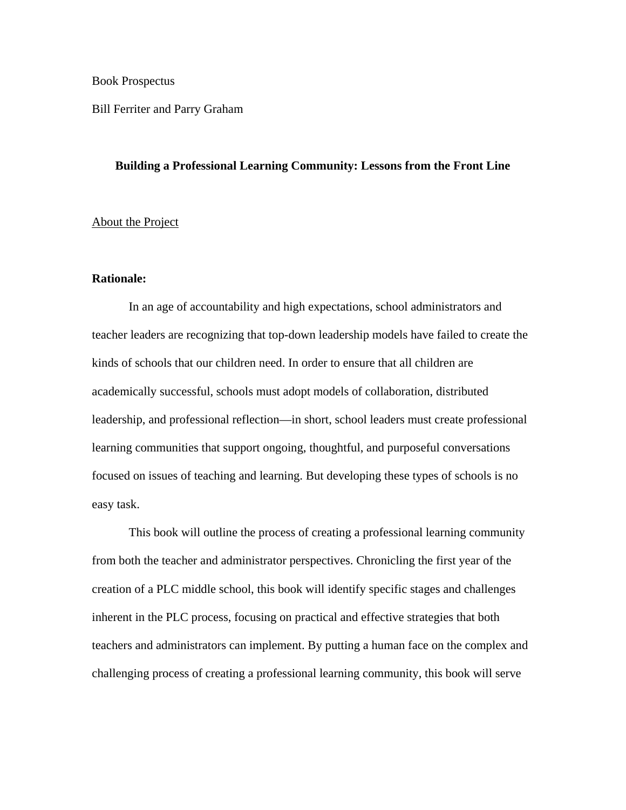Book Prospectus

Bill Ferriter and Parry Graham

# **Building a Professional Learning Community: Lessons from the Front Line**

# About the Project

## **Rationale:**

In an age of accountability and high expectations, school administrators and teacher leaders are recognizing that top-down leadership models have failed to create the kinds of schools that our children need. In order to ensure that all children are academically successful, schools must adopt models of collaboration, distributed leadership, and professional reflection—in short, school leaders must create professional learning communities that support ongoing, thoughtful, and purposeful conversations focused on issues of teaching and learning. But developing these types of schools is no easy task.

This book will outline the process of creating a professional learning community from both the teacher and administrator perspectives. Chronicling the first year of the creation of a PLC middle school, this book will identify specific stages and challenges inherent in the PLC process, focusing on practical and effective strategies that both teachers and administrators can implement. By putting a human face on the complex and challenging process of creating a professional learning community, this book will serve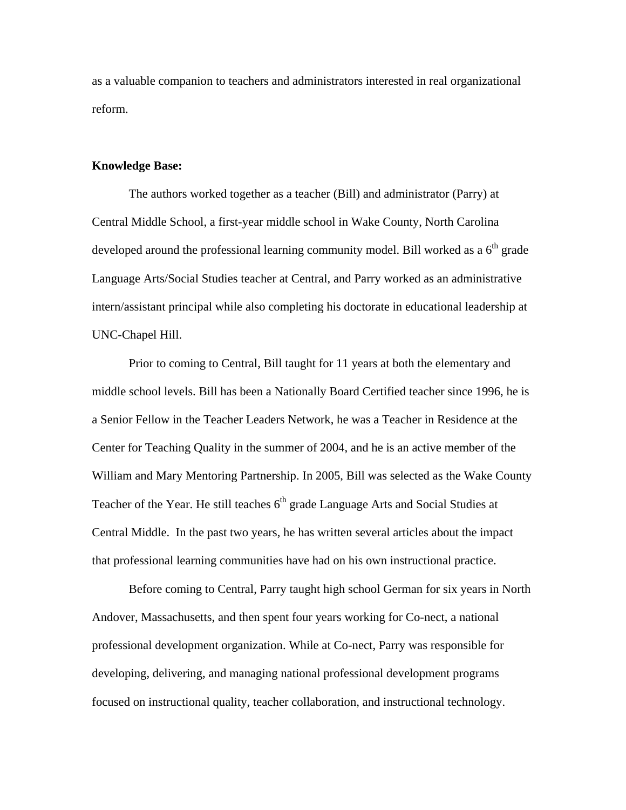as a valuable companion to teachers and administrators interested in real organizational reform.

# **Knowledge Base:**

The authors worked together as a teacher (Bill) and administrator (Parry) at Central Middle School, a first-year middle school in Wake County, North Carolina developed around the professional learning community model. Bill worked as a  $6<sup>th</sup>$  grade Language Arts/Social Studies teacher at Central, and Parry worked as an administrative intern/assistant principal while also completing his doctorate in educational leadership at UNC-Chapel Hill.

Prior to coming to Central, Bill taught for 11 years at both the elementary and middle school levels. Bill has been a Nationally Board Certified teacher since 1996, he is a Senior Fellow in the Teacher Leaders Network, he was a Teacher in Residence at the Center for Teaching Quality in the summer of 2004, and he is an active member of the William and Mary Mentoring Partnership. In 2005, Bill was selected as the Wake County Teacher of the Year. He still teaches 6<sup>th</sup> grade Language Arts and Social Studies at Central Middle. In the past two years, he has written several articles about the impact that professional learning communities have had on his own instructional practice.

Before coming to Central, Parry taught high school German for six years in North Andover, Massachusetts, and then spent four years working for Co-nect, a national professional development organization. While at Co-nect, Parry was responsible for developing, delivering, and managing national professional development programs focused on instructional quality, teacher collaboration, and instructional technology.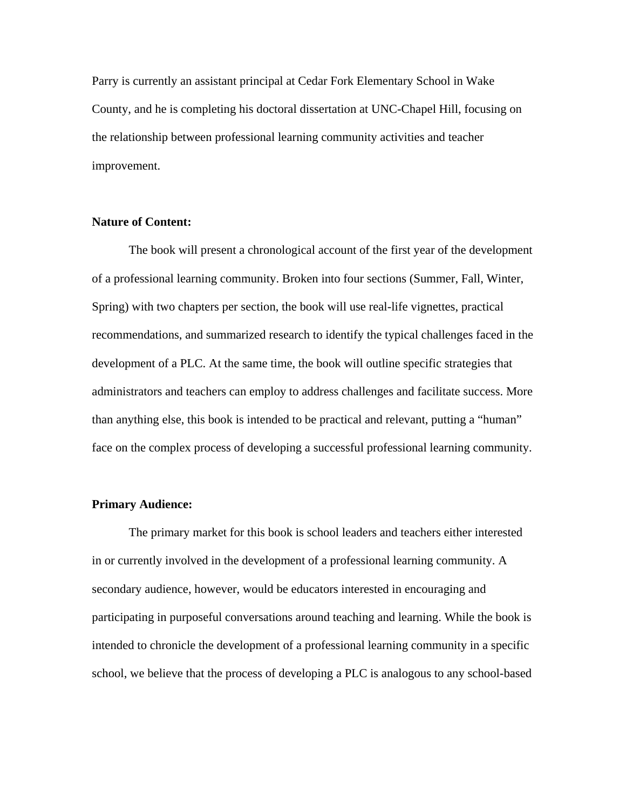Parry is currently an assistant principal at Cedar Fork Elementary School in Wake County, and he is completing his doctoral dissertation at UNC-Chapel Hill, focusing on the relationship between professional learning community activities and teacher improvement.

# **Nature of Content:**

 The book will present a chronological account of the first year of the development of a professional learning community. Broken into four sections (Summer, Fall, Winter, Spring) with two chapters per section, the book will use real-life vignettes, practical recommendations, and summarized research to identify the typical challenges faced in the development of a PLC. At the same time, the book will outline specific strategies that administrators and teachers can employ to address challenges and facilitate success. More than anything else, this book is intended to be practical and relevant, putting a "human" face on the complex process of developing a successful professional learning community.

# **Primary Audience:**

 The primary market for this book is school leaders and teachers either interested in or currently involved in the development of a professional learning community. A secondary audience, however, would be educators interested in encouraging and participating in purposeful conversations around teaching and learning. While the book is intended to chronicle the development of a professional learning community in a specific school, we believe that the process of developing a PLC is analogous to any school-based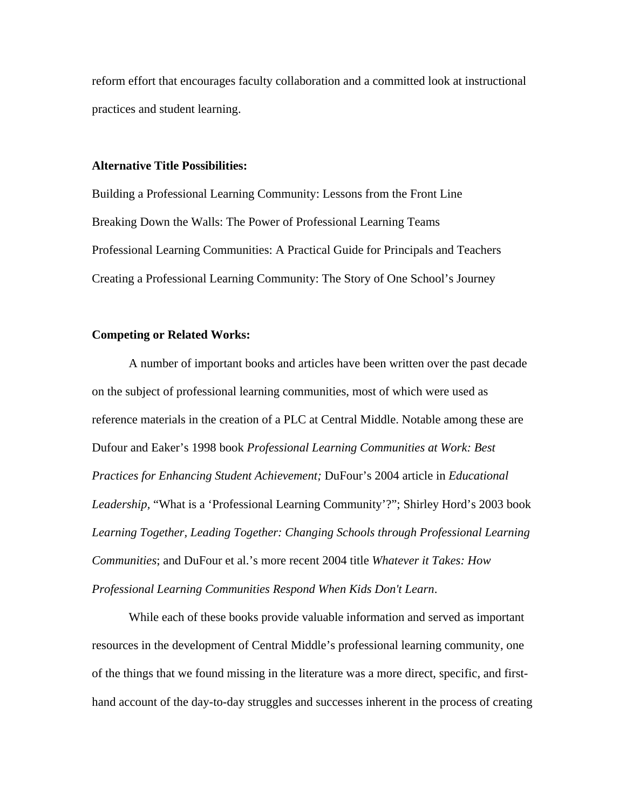reform effort that encourages faculty collaboration and a committed look at instructional practices and student learning.

## **Alternative Title Possibilities:**

Building a Professional Learning Community: Lessons from the Front Line Breaking Down the Walls: The Power of Professional Learning Teams Professional Learning Communities: A Practical Guide for Principals and Teachers Creating a Professional Learning Community: The Story of One School's Journey

#### **Competing or Related Works:**

 A number of important books and articles have been written over the past decade on the subject of professional learning communities, most of which were used as reference materials in the creation of a PLC at Central Middle. Notable among these are Dufour and Eaker's 1998 book *Professional Learning Communities at Work: Best Practices for Enhancing Student Achievement;* DuFour's 2004 article in *Educational Leadership,* "What is a 'Professional Learning Community'?"; Shirley Hord's 2003 book *Learning Together, Leading Together: Changing Schools through Professional Learning Communities*; and DuFour et al.'s more recent 2004 title *Whatever it Takes: How Professional Learning Communities Respond When Kids Don't Learn*.

 While each of these books provide valuable information and served as important resources in the development of Central Middle's professional learning community, one of the things that we found missing in the literature was a more direct, specific, and firsthand account of the day-to-day struggles and successes inherent in the process of creating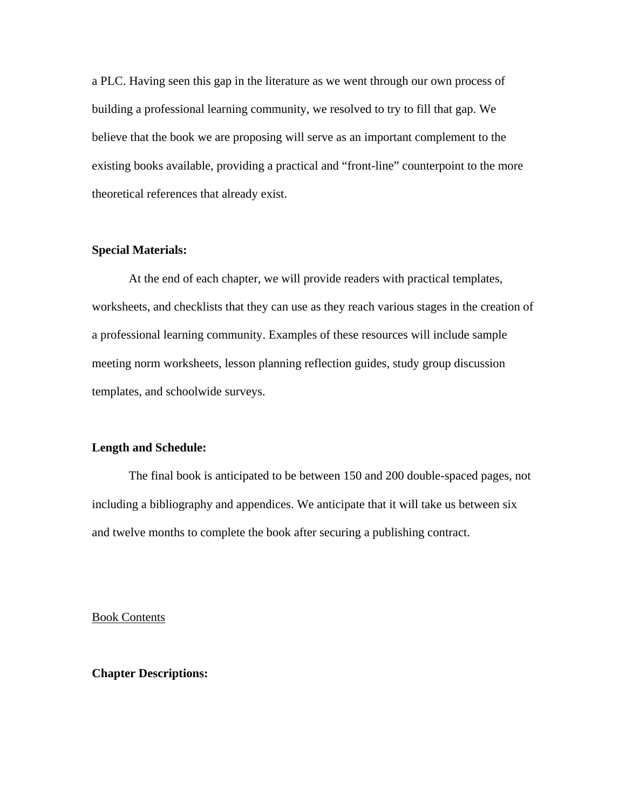a PLC. Having seen this gap in the literature as we went through our own process of building a professional learning community, we resolved to try to fill that gap. We believe that the book we are proposing will serve as an important complement to the existing books available, providing a practical and "front-line" counterpoint to the more theoretical references that already exist.

# **Special Materials:**

 At the end of each chapter, we will provide readers with practical templates, worksheets, and checklists that they can use as they reach various stages in the creation of a professional learning community. Examples of these resources will include sample meeting norm worksheets, lesson planning reflection guides, study group discussion templates, and schoolwide surveys.

# **Length and Schedule:**

 The final book is anticipated to be between 150 and 200 double-spaced pages, not including a bibliography and appendices. We anticipate that it will take us between six and twelve months to complete the book after securing a publishing contract.

Book Contents

**Chapter Descriptions:**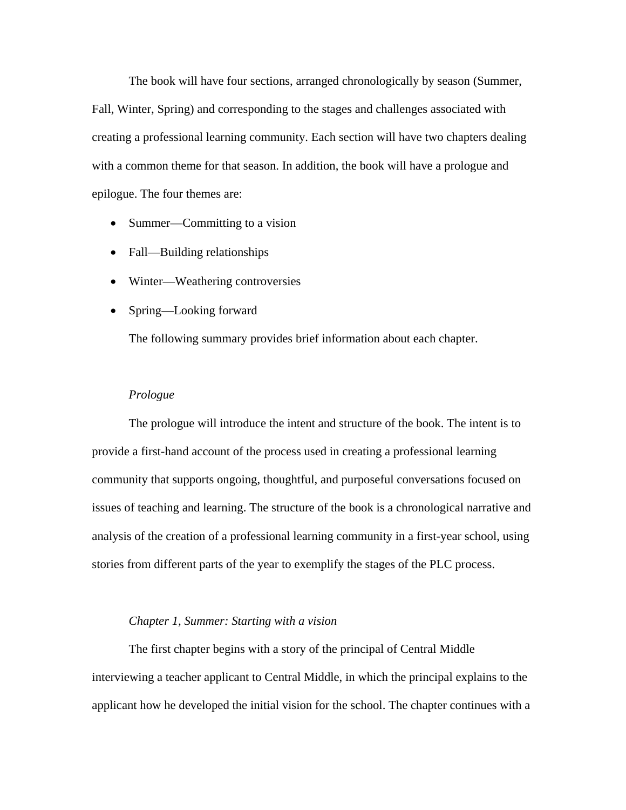The book will have four sections, arranged chronologically by season (Summer, Fall, Winter, Spring) and corresponding to the stages and challenges associated with creating a professional learning community. Each section will have two chapters dealing with a common theme for that season. In addition, the book will have a prologue and epilogue. The four themes are:

- Summer—Committing to a vision
- Fall—Building relationships
- Winter—Weathering controversies
- Spring—Looking forward

The following summary provides brief information about each chapter.

#### *Prologue*

 The prologue will introduce the intent and structure of the book. The intent is to provide a first-hand account of the process used in creating a professional learning community that supports ongoing, thoughtful, and purposeful conversations focused on issues of teaching and learning. The structure of the book is a chronological narrative and analysis of the creation of a professional learning community in a first-year school, using stories from different parts of the year to exemplify the stages of the PLC process.

# *Chapter 1, Summer: Starting with a vision*

 The first chapter begins with a story of the principal of Central Middle interviewing a teacher applicant to Central Middle, in which the principal explains to the applicant how he developed the initial vision for the school. The chapter continues with a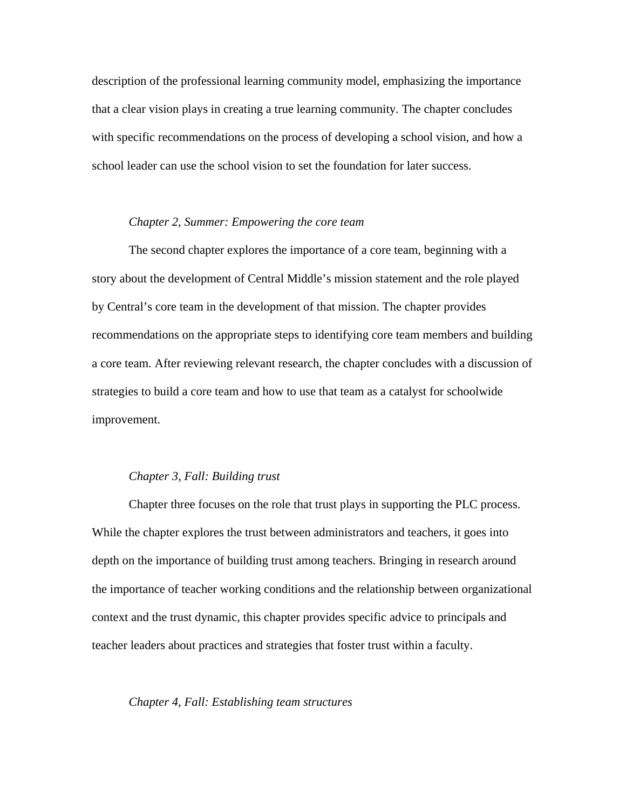description of the professional learning community model, emphasizing the importance that a clear vision plays in creating a true learning community. The chapter concludes with specific recommendations on the process of developing a school vision, and how a school leader can use the school vision to set the foundation for later success.

# *Chapter 2, Summer: Empowering the core team*

 The second chapter explores the importance of a core team, beginning with a story about the development of Central Middle's mission statement and the role played by Central's core team in the development of that mission. The chapter provides recommendations on the appropriate steps to identifying core team members and building a core team. After reviewing relevant research, the chapter concludes with a discussion of strategies to build a core team and how to use that team as a catalyst for schoolwide improvement.

# *Chapter 3, Fall: Building trust*

 Chapter three focuses on the role that trust plays in supporting the PLC process. While the chapter explores the trust between administrators and teachers, it goes into depth on the importance of building trust among teachers. Bringing in research around the importance of teacher working conditions and the relationship between organizational context and the trust dynamic, this chapter provides specific advice to principals and teacher leaders about practices and strategies that foster trust within a faculty.

#### *Chapter 4, Fall: Establishing team structures*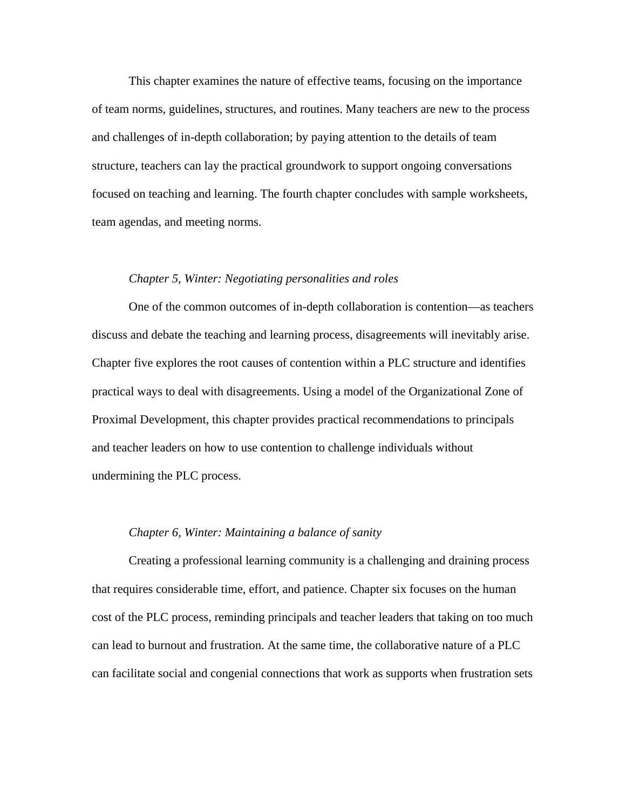This chapter examines the nature of effective teams, focusing on the importance of team norms, guidelines, structures, and routines. Many teachers are new to the process and challenges of in-depth collaboration; by paying attention to the details of team structure, teachers can lay the practical groundwork to support ongoing conversations focused on teaching and learning. The fourth chapter concludes with sample worksheets, team agendas, and meeting norms.

#### *Chapter 5, Winter: Negotiating personalities and roles*

 One of the common outcomes of in-depth collaboration is contention—as teachers discuss and debate the teaching and learning process, disagreements will inevitably arise. Chapter five explores the root causes of contention within a PLC structure and identifies practical ways to deal with disagreements. Using a model of the Organizational Zone of Proximal Development, this chapter provides practical recommendations to principals and teacher leaders on how to use contention to challenge individuals without undermining the PLC process.

# *Chapter 6, Winter: Maintaining a balance of sanity*

 Creating a professional learning community is a challenging and draining process that requires considerable time, effort, and patience. Chapter six focuses on the human cost of the PLC process, reminding principals and teacher leaders that taking on too much can lead to burnout and frustration. At the same time, the collaborative nature of a PLC can facilitate social and congenial connections that work as supports when frustration sets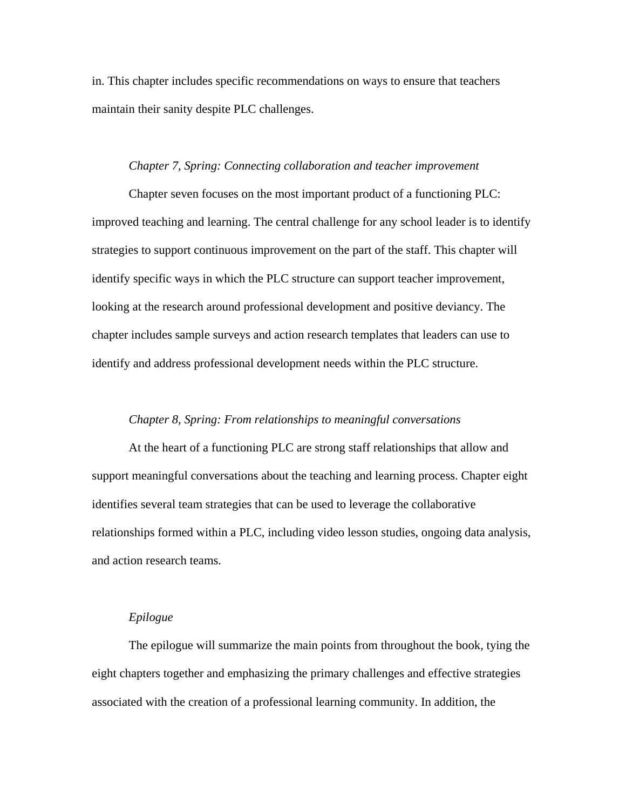in. This chapter includes specific recommendations on ways to ensure that teachers maintain their sanity despite PLC challenges.

### *Chapter 7, Spring: Connecting collaboration and teacher improvement*

 Chapter seven focuses on the most important product of a functioning PLC: improved teaching and learning. The central challenge for any school leader is to identify strategies to support continuous improvement on the part of the staff. This chapter will identify specific ways in which the PLC structure can support teacher improvement, looking at the research around professional development and positive deviancy. The chapter includes sample surveys and action research templates that leaders can use to identify and address professional development needs within the PLC structure.

# *Chapter 8, Spring: From relationships to meaningful conversations*

 At the heart of a functioning PLC are strong staff relationships that allow and support meaningful conversations about the teaching and learning process. Chapter eight identifies several team strategies that can be used to leverage the collaborative relationships formed within a PLC, including video lesson studies, ongoing data analysis, and action research teams.

# *Epilogue*

 The epilogue will summarize the main points from throughout the book, tying the eight chapters together and emphasizing the primary challenges and effective strategies associated with the creation of a professional learning community. In addition, the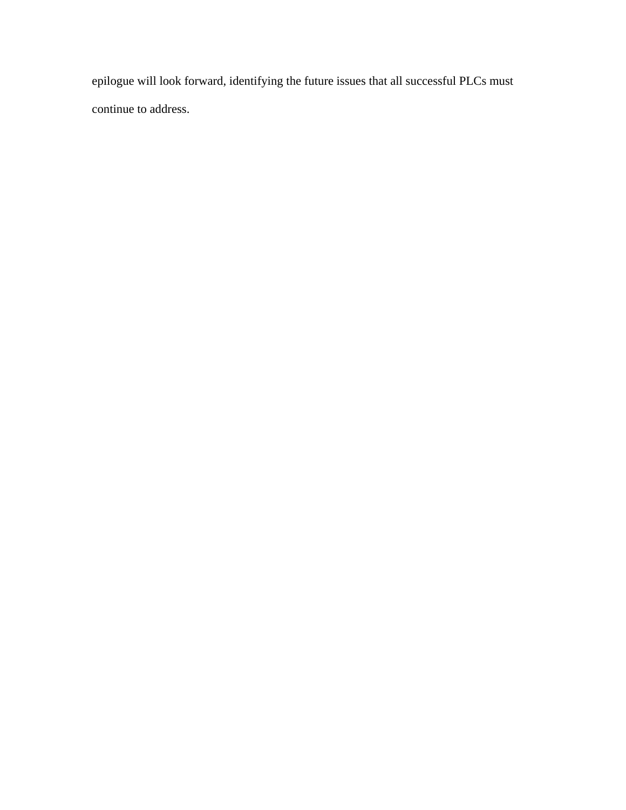epilogue will look forward, identifying the future issues that all successful PLCs must continue to address.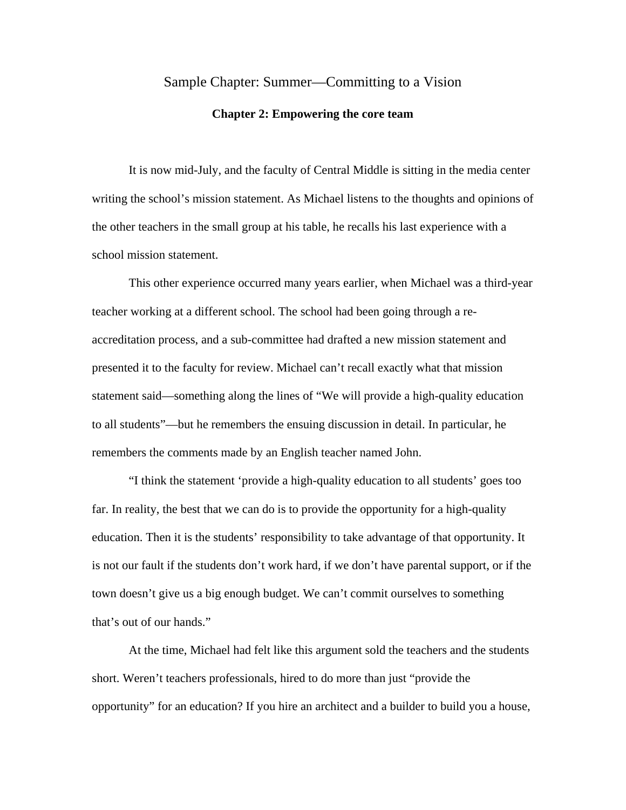# Sample Chapter: Summer—Committing to a Vision

#### **Chapter 2: Empowering the core team**

 It is now mid-July, and the faculty of Central Middle is sitting in the media center writing the school's mission statement. As Michael listens to the thoughts and opinions of the other teachers in the small group at his table, he recalls his last experience with a school mission statement.

This other experience occurred many years earlier, when Michael was a third-year teacher working at a different school. The school had been going through a reaccreditation process, and a sub-committee had drafted a new mission statement and presented it to the faculty for review. Michael can't recall exactly what that mission statement said—something along the lines of "We will provide a high-quality education to all students"—but he remembers the ensuing discussion in detail. In particular, he remembers the comments made by an English teacher named John.

"I think the statement 'provide a high-quality education to all students' goes too far. In reality, the best that we can do is to provide the opportunity for a high-quality education. Then it is the students' responsibility to take advantage of that opportunity. It is not our fault if the students don't work hard, if we don't have parental support, or if the town doesn't give us a big enough budget. We can't commit ourselves to something that's out of our hands."

At the time, Michael had felt like this argument sold the teachers and the students short. Weren't teachers professionals, hired to do more than just "provide the opportunity" for an education? If you hire an architect and a builder to build you a house,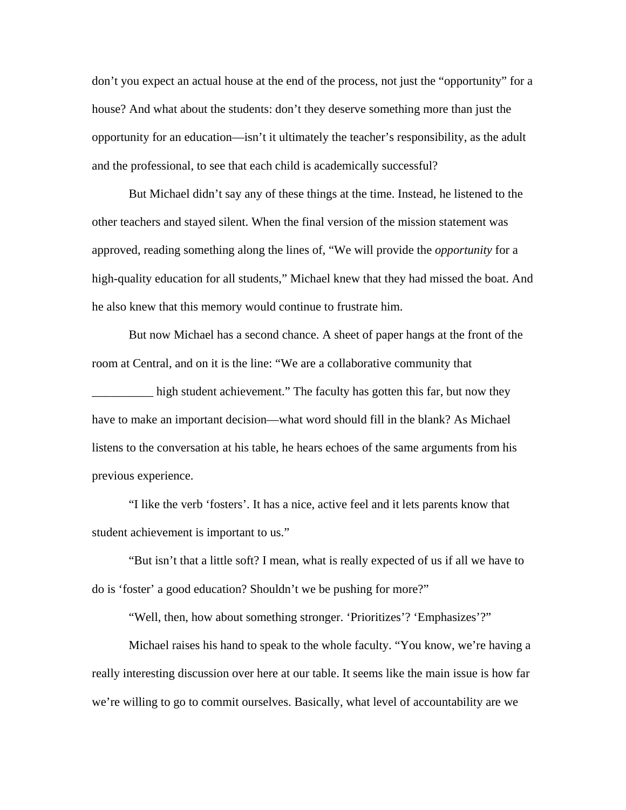don't you expect an actual house at the end of the process, not just the "opportunity" for a house? And what about the students: don't they deserve something more than just the opportunity for an education—isn't it ultimately the teacher's responsibility, as the adult and the professional, to see that each child is academically successful?

But Michael didn't say any of these things at the time. Instead, he listened to the other teachers and stayed silent. When the final version of the mission statement was approved, reading something along the lines of, "We will provide the *opportunity* for a high-quality education for all students," Michael knew that they had missed the boat. And he also knew that this memory would continue to frustrate him.

But now Michael has a second chance. A sheet of paper hangs at the front of the room at Central, and on it is the line: "We are a collaborative community that

\_\_\_\_\_\_\_\_\_\_ high student achievement." The faculty has gotten this far, but now they have to make an important decision—what word should fill in the blank? As Michael listens to the conversation at his table, he hears echoes of the same arguments from his previous experience.

"I like the verb 'fosters'. It has a nice, active feel and it lets parents know that student achievement is important to us."

"But isn't that a little soft? I mean, what is really expected of us if all we have to do is 'foster' a good education? Shouldn't we be pushing for more?"

"Well, then, how about something stronger. 'Prioritizes'? 'Emphasizes'?"

 Michael raises his hand to speak to the whole faculty. "You know, we're having a really interesting discussion over here at our table. It seems like the main issue is how far we're willing to go to commit ourselves. Basically, what level of accountability are we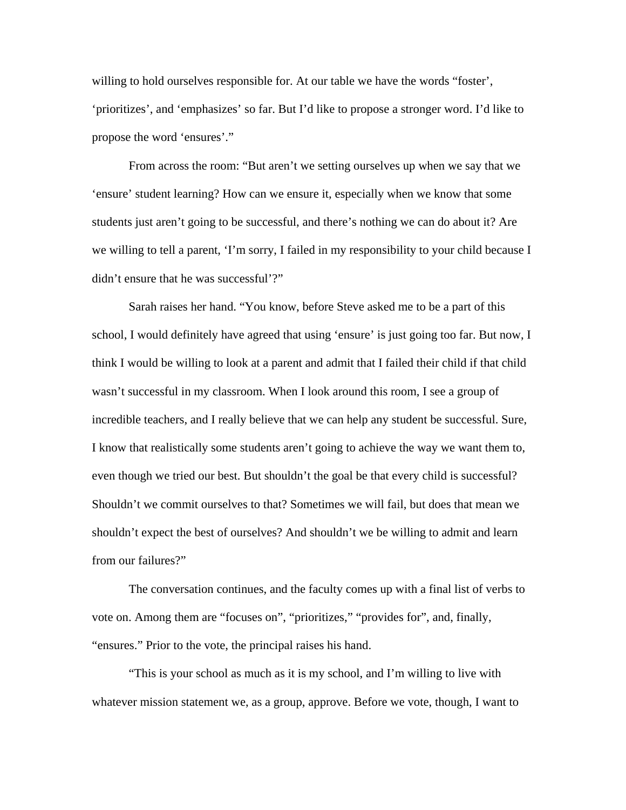willing to hold ourselves responsible for. At our table we have the words "foster', 'prioritizes', and 'emphasizes' so far. But I'd like to propose a stronger word. I'd like to propose the word 'ensures'."

 From across the room: "But aren't we setting ourselves up when we say that we 'ensure' student learning? How can we ensure it, especially when we know that some students just aren't going to be successful, and there's nothing we can do about it? Are we willing to tell a parent, 'I'm sorry, I failed in my responsibility to your child because I didn't ensure that he was successful'?"

 Sarah raises her hand. "You know, before Steve asked me to be a part of this school, I would definitely have agreed that using 'ensure' is just going too far. But now, I think I would be willing to look at a parent and admit that I failed their child if that child wasn't successful in my classroom. When I look around this room, I see a group of incredible teachers, and I really believe that we can help any student be successful. Sure, I know that realistically some students aren't going to achieve the way we want them to, even though we tried our best. But shouldn't the goal be that every child is successful? Shouldn't we commit ourselves to that? Sometimes we will fail, but does that mean we shouldn't expect the best of ourselves? And shouldn't we be willing to admit and learn from our failures?"

 The conversation continues, and the faculty comes up with a final list of verbs to vote on. Among them are "focuses on", "prioritizes," "provides for", and, finally, "ensures." Prior to the vote, the principal raises his hand.

"This is your school as much as it is my school, and I'm willing to live with whatever mission statement we, as a group, approve. Before we vote, though, I want to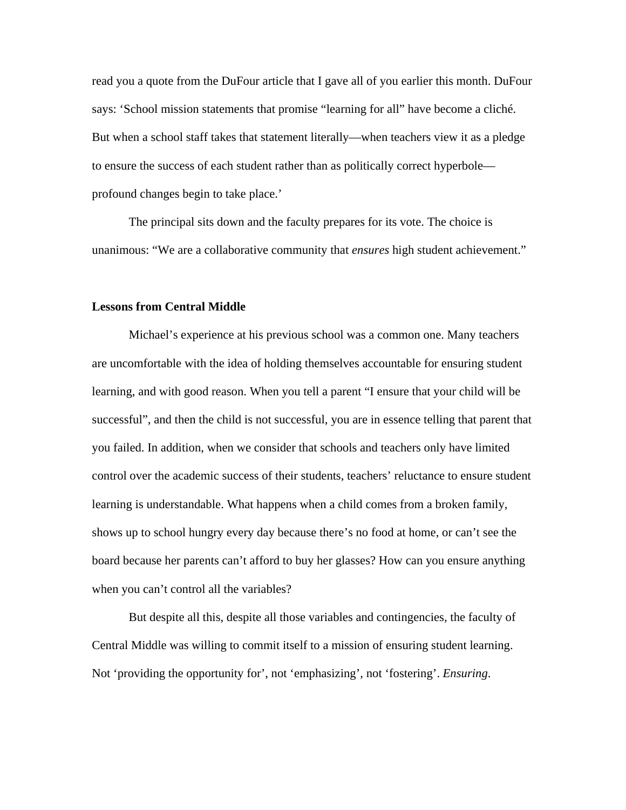read you a quote from the DuFour article that I gave all of you earlier this month. DuFour says: 'School mission statements that promise "learning for all" have become a cliché. But when a school staff takes that statement literally—when teachers view it as a pledge to ensure the success of each student rather than as politically correct hyperbole profound changes begin to take place.'

 The principal sits down and the faculty prepares for its vote. The choice is unanimous: "We are a collaborative community that *ensures* high student achievement."

# **Lessons from Central Middle**

 Michael's experience at his previous school was a common one. Many teachers are uncomfortable with the idea of holding themselves accountable for ensuring student learning, and with good reason. When you tell a parent "I ensure that your child will be successful", and then the child is not successful, you are in essence telling that parent that you failed. In addition, when we consider that schools and teachers only have limited control over the academic success of their students, teachers' reluctance to ensure student learning is understandable. What happens when a child comes from a broken family, shows up to school hungry every day because there's no food at home, or can't see the board because her parents can't afford to buy her glasses? How can you ensure anything when you can't control all the variables?

 But despite all this, despite all those variables and contingencies, the faculty of Central Middle was willing to commit itself to a mission of ensuring student learning. Not 'providing the opportunity for', not 'emphasizing', not 'fostering'. *Ensuring*.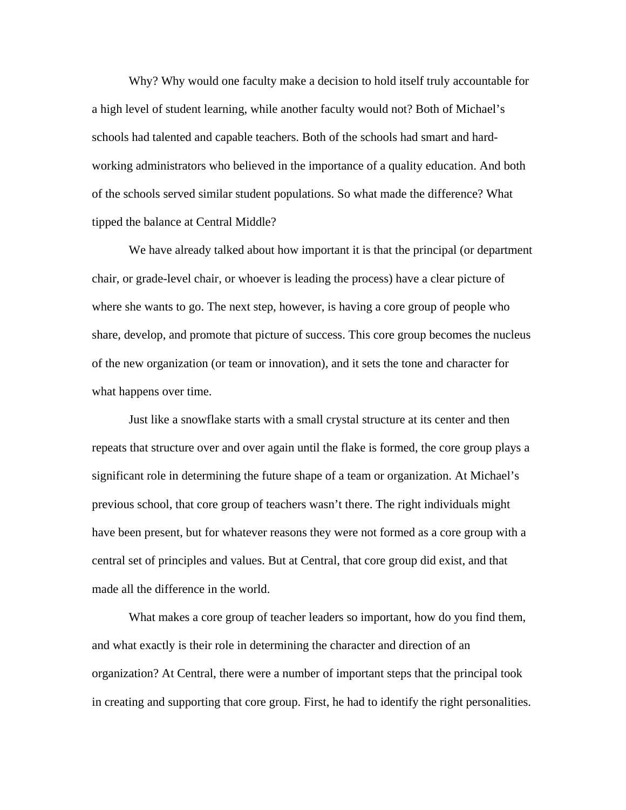Why? Why would one faculty make a decision to hold itself truly accountable for a high level of student learning, while another faculty would not? Both of Michael's schools had talented and capable teachers. Both of the schools had smart and hardworking administrators who believed in the importance of a quality education. And both of the schools served similar student populations. So what made the difference? What tipped the balance at Central Middle?

We have already talked about how important it is that the principal (or department chair, or grade-level chair, or whoever is leading the process) have a clear picture of where she wants to go. The next step, however, is having a core group of people who share, develop, and promote that picture of success. This core group becomes the nucleus of the new organization (or team or innovation), and it sets the tone and character for what happens over time.

Just like a snowflake starts with a small crystal structure at its center and then repeats that structure over and over again until the flake is formed, the core group plays a significant role in determining the future shape of a team or organization. At Michael's previous school, that core group of teachers wasn't there. The right individuals might have been present, but for whatever reasons they were not formed as a core group with a central set of principles and values. But at Central, that core group did exist, and that made all the difference in the world.

What makes a core group of teacher leaders so important, how do you find them, and what exactly is their role in determining the character and direction of an organization? At Central, there were a number of important steps that the principal took in creating and supporting that core group. First, he had to identify the right personalities.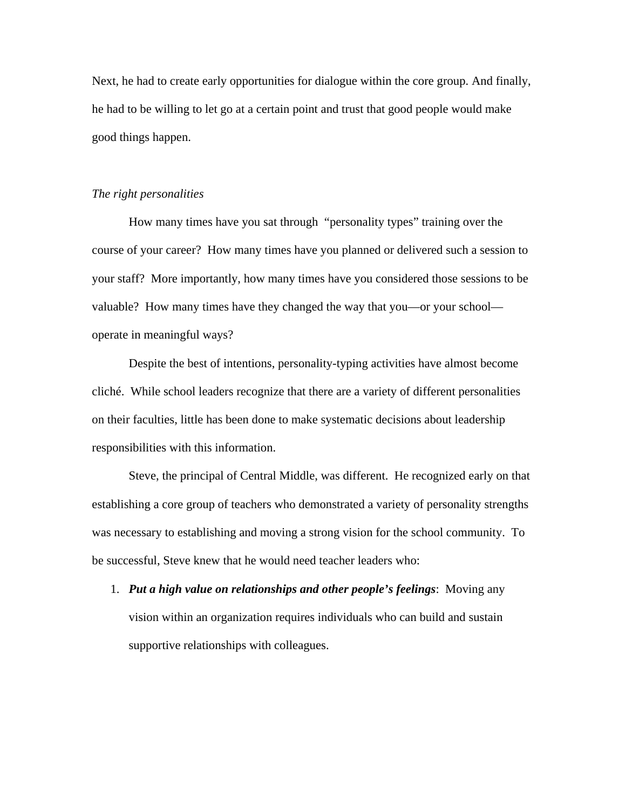Next, he had to create early opportunities for dialogue within the core group. And finally, he had to be willing to let go at a certain point and trust that good people would make good things happen.

#### *The right personalities*

 How many times have you sat through "personality types" training over the course of your career? How many times have you planned or delivered such a session to your staff? More importantly, how many times have you considered those sessions to be valuable? How many times have they changed the way that you—or your school operate in meaningful ways?

 Despite the best of intentions, personality-typing activities have almost become cliché. While school leaders recognize that there are a variety of different personalities on their faculties, little has been done to make systematic decisions about leadership responsibilities with this information.

 Steve, the principal of Central Middle, was different. He recognized early on that establishing a core group of teachers who demonstrated a variety of personality strengths was necessary to establishing and moving a strong vision for the school community. To be successful, Steve knew that he would need teacher leaders who:

1. *Put a high value on relationships and other people's feelings*: Moving any vision within an organization requires individuals who can build and sustain supportive relationships with colleagues.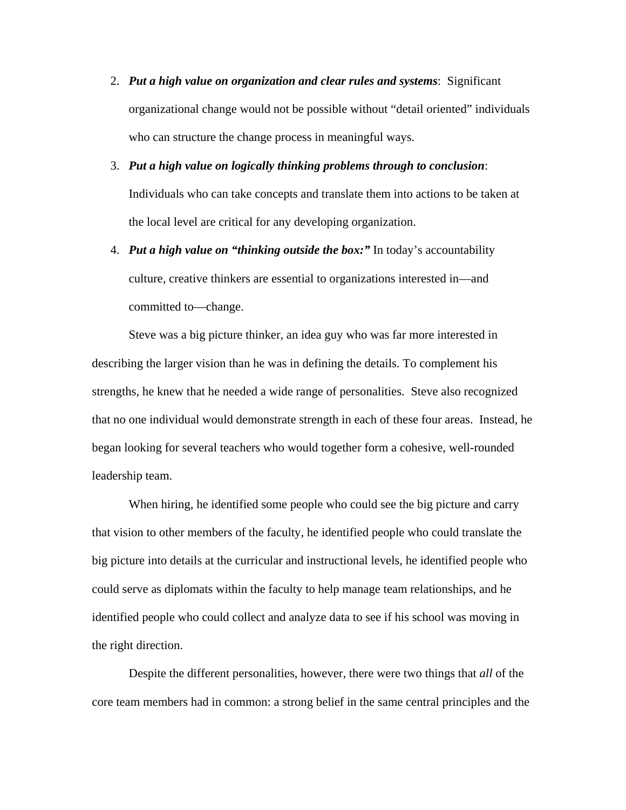- 2. *Put a high value on organization and clear rules and systems*: Significant organizational change would not be possible without "detail oriented" individuals who can structure the change process in meaningful ways.
- 3. *Put a high value on logically thinking problems through to conclusion*: Individuals who can take concepts and translate them into actions to be taken at the local level are critical for any developing organization.
- 4. *Put a high value on "thinking outside the box:"* In today's accountability culture, creative thinkers are essential to organizations interested in—and committed to—change.

Steve was a big picture thinker, an idea guy who was far more interested in describing the larger vision than he was in defining the details. To complement his strengths, he knew that he needed a wide range of personalities. Steve also recognized that no one individual would demonstrate strength in each of these four areas. Instead, he began looking for several teachers who would together form a cohesive, well-rounded leadership team.

When hiring, he identified some people who could see the big picture and carry that vision to other members of the faculty, he identified people who could translate the big picture into details at the curricular and instructional levels, he identified people who could serve as diplomats within the faculty to help manage team relationships, and he identified people who could collect and analyze data to see if his school was moving in the right direction.

 Despite the different personalities, however, there were two things that *all* of the core team members had in common: a strong belief in the same central principles and the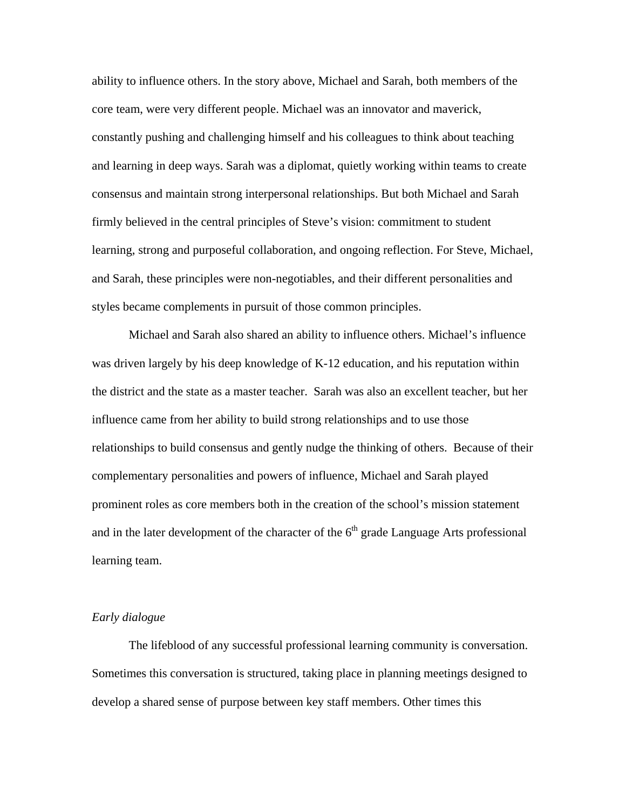ability to influence others. In the story above, Michael and Sarah, both members of the core team, were very different people. Michael was an innovator and maverick, constantly pushing and challenging himself and his colleagues to think about teaching and learning in deep ways. Sarah was a diplomat, quietly working within teams to create consensus and maintain strong interpersonal relationships. But both Michael and Sarah firmly believed in the central principles of Steve's vision: commitment to student learning, strong and purposeful collaboration, and ongoing reflection. For Steve, Michael, and Sarah, these principles were non-negotiables, and their different personalities and styles became complements in pursuit of those common principles.

 Michael and Sarah also shared an ability to influence others. Michael's influence was driven largely by his deep knowledge of K-12 education, and his reputation within the district and the state as a master teacher. Sarah was also an excellent teacher, but her influence came from her ability to build strong relationships and to use those relationships to build consensus and gently nudge the thinking of others. Because of their complementary personalities and powers of influence, Michael and Sarah played prominent roles as core members both in the creation of the school's mission statement and in the later development of the character of the  $6<sup>th</sup>$  grade Language Arts professional learning team.

### *Early dialogue*

 The lifeblood of any successful professional learning community is conversation. Sometimes this conversation is structured, taking place in planning meetings designed to develop a shared sense of purpose between key staff members. Other times this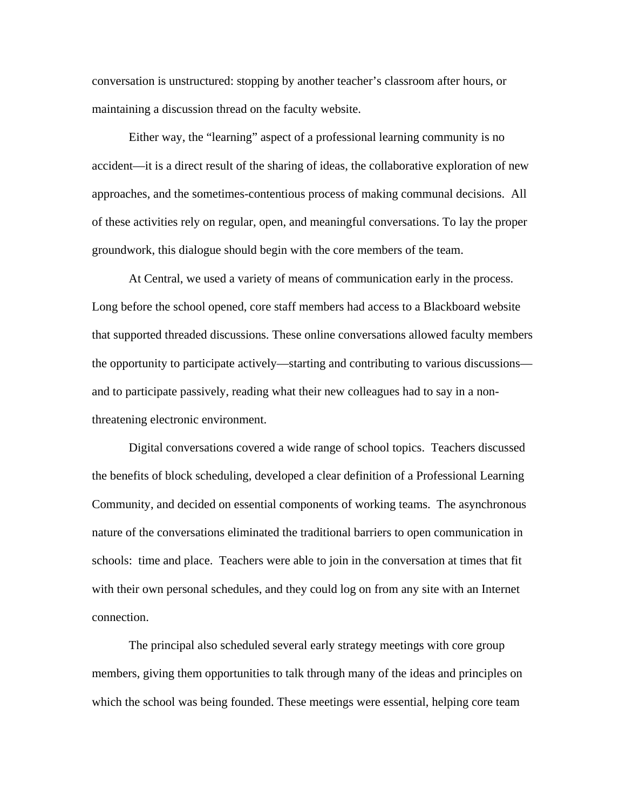conversation is unstructured: stopping by another teacher's classroom after hours, or maintaining a discussion thread on the faculty website.

Either way, the "learning" aspect of a professional learning community is no accident—it is a direct result of the sharing of ideas, the collaborative exploration of new approaches, and the sometimes-contentious process of making communal decisions. All of these activities rely on regular, open, and meaningful conversations. To lay the proper groundwork, this dialogue should begin with the core members of the team.

 At Central, we used a variety of means of communication early in the process. Long before the school opened, core staff members had access to a Blackboard website that supported threaded discussions. These online conversations allowed faculty members the opportunity to participate actively—starting and contributing to various discussions and to participate passively, reading what their new colleagues had to say in a nonthreatening electronic environment.

Digital conversations covered a wide range of school topics. Teachers discussed the benefits of block scheduling, developed a clear definition of a Professional Learning Community, and decided on essential components of working teams. The asynchronous nature of the conversations eliminated the traditional barriers to open communication in schools: time and place. Teachers were able to join in the conversation at times that fit with their own personal schedules, and they could log on from any site with an Internet connection.

The principal also scheduled several early strategy meetings with core group members, giving them opportunities to talk through many of the ideas and principles on which the school was being founded. These meetings were essential, helping core team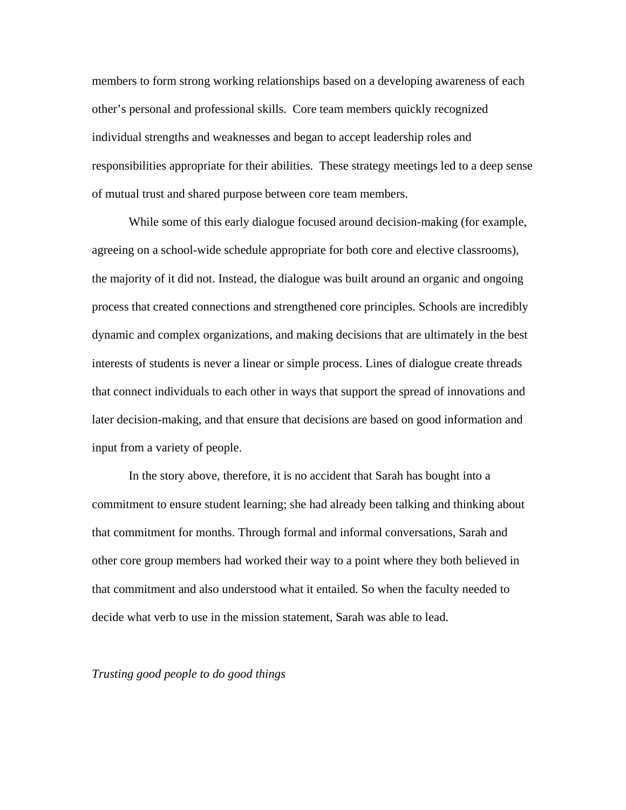members to form strong working relationships based on a developing awareness of each other's personal and professional skills. Core team members quickly recognized individual strengths and weaknesses and began to accept leadership roles and responsibilities appropriate for their abilities. These strategy meetings led to a deep sense of mutual trust and shared purpose between core team members.

 While some of this early dialogue focused around decision-making (for example, agreeing on a school-wide schedule appropriate for both core and elective classrooms), the majority of it did not. Instead, the dialogue was built around an organic and ongoing process that created connections and strengthened core principles. Schools are incredibly dynamic and complex organizations, and making decisions that are ultimately in the best interests of students is never a linear or simple process. Lines of dialogue create threads that connect individuals to each other in ways that support the spread of innovations and later decision-making, and that ensure that decisions are based on good information and input from a variety of people.

In the story above, therefore, it is no accident that Sarah has bought into a commitment to ensure student learning; she had already been talking and thinking about that commitment for months. Through formal and informal conversations, Sarah and other core group members had worked their way to a point where they both believed in that commitment and also understood what it entailed. So when the faculty needed to decide what verb to use in the mission statement, Sarah was able to lead.

*Trusting good people to do good things*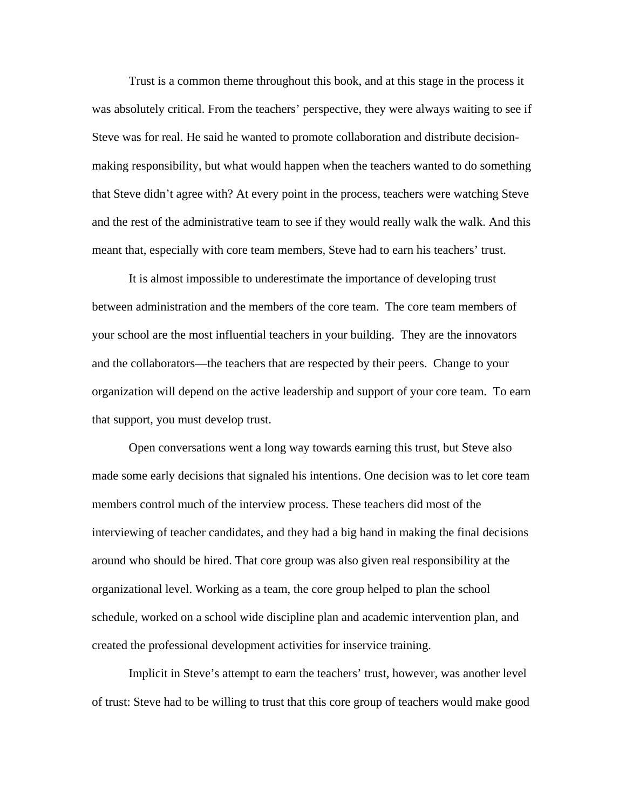Trust is a common theme throughout this book, and at this stage in the process it was absolutely critical. From the teachers' perspective, they were always waiting to see if Steve was for real. He said he wanted to promote collaboration and distribute decisionmaking responsibility, but what would happen when the teachers wanted to do something that Steve didn't agree with? At every point in the process, teachers were watching Steve and the rest of the administrative team to see if they would really walk the walk. And this meant that, especially with core team members, Steve had to earn his teachers' trust.

 It is almost impossible to underestimate the importance of developing trust between administration and the members of the core team. The core team members of your school are the most influential teachers in your building. They are the innovators and the collaborators—the teachers that are respected by their peers. Change to your organization will depend on the active leadership and support of your core team. To earn that support, you must develop trust.

Open conversations went a long way towards earning this trust, but Steve also made some early decisions that signaled his intentions. One decision was to let core team members control much of the interview process. These teachers did most of the interviewing of teacher candidates, and they had a big hand in making the final decisions around who should be hired. That core group was also given real responsibility at the organizational level. Working as a team, the core group helped to plan the school schedule, worked on a school wide discipline plan and academic intervention plan, and created the professional development activities for inservice training.

 Implicit in Steve's attempt to earn the teachers' trust, however, was another level of trust: Steve had to be willing to trust that this core group of teachers would make good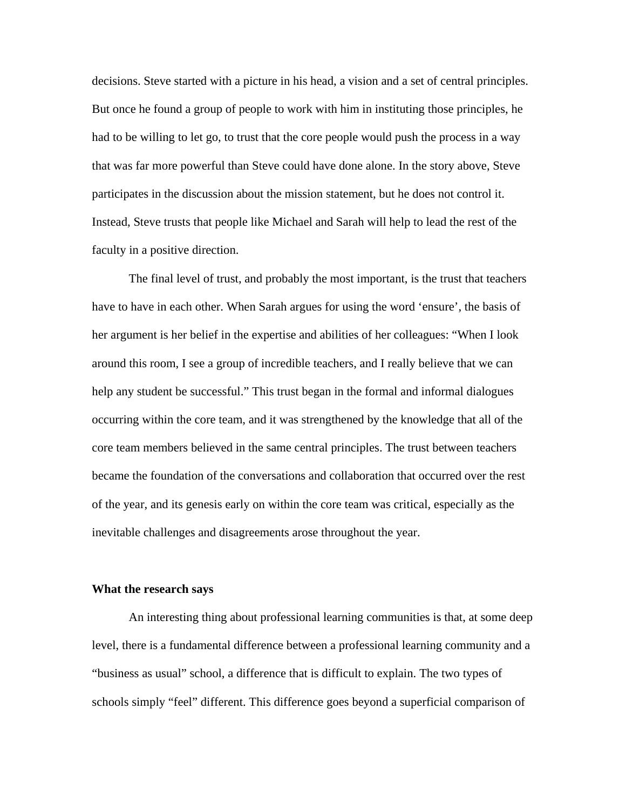decisions. Steve started with a picture in his head, a vision and a set of central principles. But once he found a group of people to work with him in instituting those principles, he had to be willing to let go, to trust that the core people would push the process in a way that was far more powerful than Steve could have done alone. In the story above, Steve participates in the discussion about the mission statement, but he does not control it. Instead, Steve trusts that people like Michael and Sarah will help to lead the rest of the faculty in a positive direction.

 The final level of trust, and probably the most important, is the trust that teachers have to have in each other. When Sarah argues for using the word 'ensure', the basis of her argument is her belief in the expertise and abilities of her colleagues: "When I look around this room, I see a group of incredible teachers, and I really believe that we can help any student be successful." This trust began in the formal and informal dialogues occurring within the core team, and it was strengthened by the knowledge that all of the core team members believed in the same central principles. The trust between teachers became the foundation of the conversations and collaboration that occurred over the rest of the year, and its genesis early on within the core team was critical, especially as the inevitable challenges and disagreements arose throughout the year.

#### **What the research says**

 An interesting thing about professional learning communities is that, at some deep level, there is a fundamental difference between a professional learning community and a "business as usual" school, a difference that is difficult to explain. The two types of schools simply "feel" different. This difference goes beyond a superficial comparison of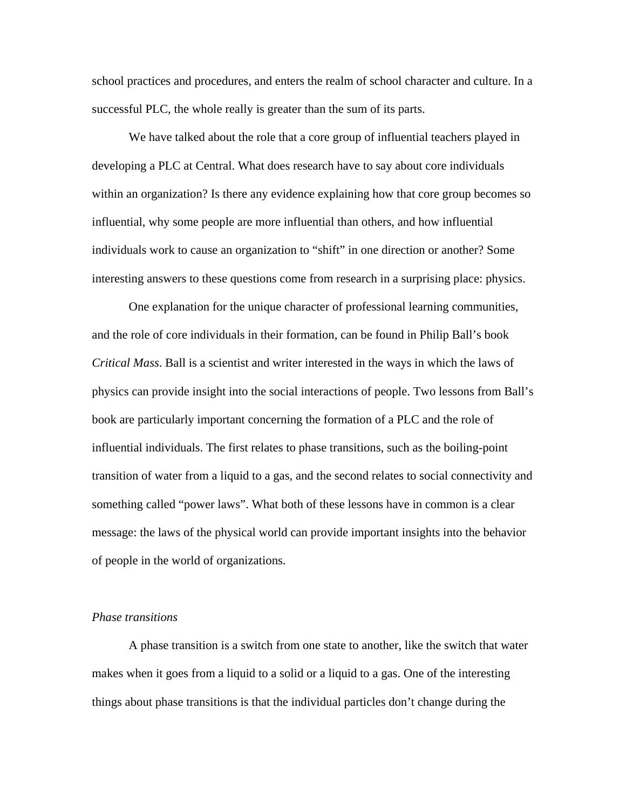school practices and procedures, and enters the realm of school character and culture. In a successful PLC, the whole really is greater than the sum of its parts.

We have talked about the role that a core group of influential teachers played in developing a PLC at Central. What does research have to say about core individuals within an organization? Is there any evidence explaining how that core group becomes so influential, why some people are more influential than others, and how influential individuals work to cause an organization to "shift" in one direction or another? Some interesting answers to these questions come from research in a surprising place: physics.

 One explanation for the unique character of professional learning communities, and the role of core individuals in their formation, can be found in Philip Ball's book *Critical Mass*. Ball is a scientist and writer interested in the ways in which the laws of physics can provide insight into the social interactions of people. Two lessons from Ball's book are particularly important concerning the formation of a PLC and the role of influential individuals. The first relates to phase transitions, such as the boiling-point transition of water from a liquid to a gas, and the second relates to social connectivity and something called "power laws". What both of these lessons have in common is a clear message: the laws of the physical world can provide important insights into the behavior of people in the world of organizations.

#### *Phase transitions*

A phase transition is a switch from one state to another, like the switch that water makes when it goes from a liquid to a solid or a liquid to a gas. One of the interesting things about phase transitions is that the individual particles don't change during the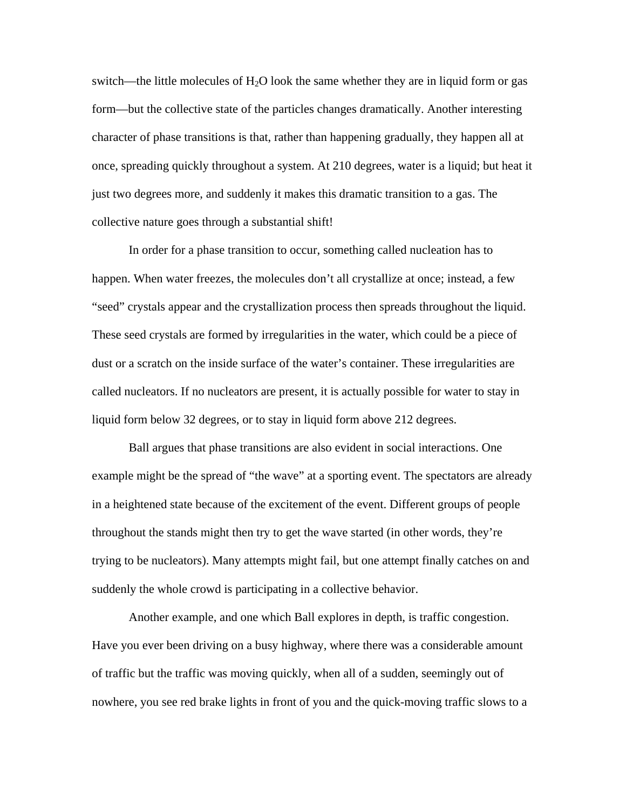switch—the little molecules of  $H_2O$  look the same whether they are in liquid form or gas form—but the collective state of the particles changes dramatically. Another interesting character of phase transitions is that, rather than happening gradually, they happen all at once, spreading quickly throughout a system. At 210 degrees, water is a liquid; but heat it just two degrees more, and suddenly it makes this dramatic transition to a gas. The collective nature goes through a substantial shift!

In order for a phase transition to occur, something called nucleation has to happen. When water freezes, the molecules don't all crystallize at once; instead, a few "seed" crystals appear and the crystallization process then spreads throughout the liquid. These seed crystals are formed by irregularities in the water, which could be a piece of dust or a scratch on the inside surface of the water's container. These irregularities are called nucleators. If no nucleators are present, it is actually possible for water to stay in liquid form below 32 degrees, or to stay in liquid form above 212 degrees.

Ball argues that phase transitions are also evident in social interactions. One example might be the spread of "the wave" at a sporting event. The spectators are already in a heightened state because of the excitement of the event. Different groups of people throughout the stands might then try to get the wave started (in other words, they're trying to be nucleators). Many attempts might fail, but one attempt finally catches on and suddenly the whole crowd is participating in a collective behavior.

Another example, and one which Ball explores in depth, is traffic congestion. Have you ever been driving on a busy highway, where there was a considerable amount of traffic but the traffic was moving quickly, when all of a sudden, seemingly out of nowhere, you see red brake lights in front of you and the quick-moving traffic slows to a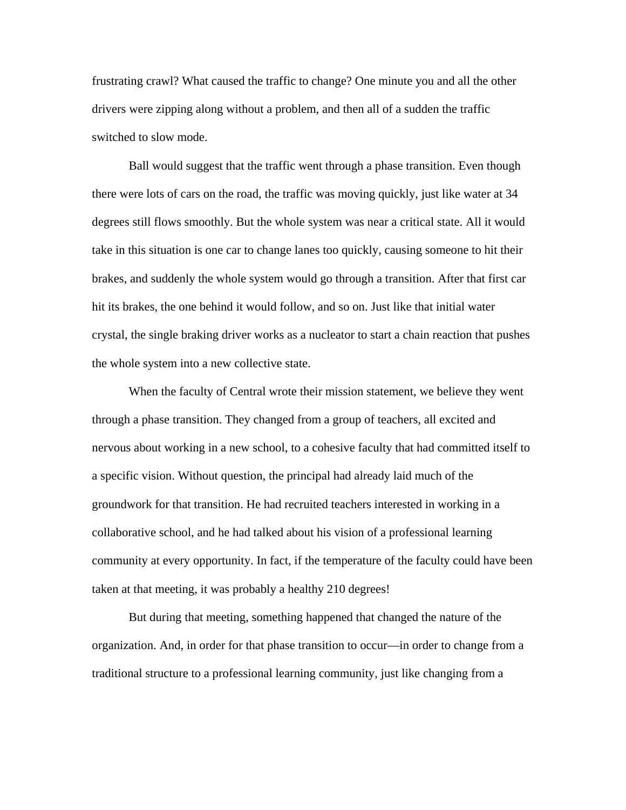frustrating crawl? What caused the traffic to change? One minute you and all the other drivers were zipping along without a problem, and then all of a sudden the traffic switched to slow mode.

Ball would suggest that the traffic went through a phase transition. Even though there were lots of cars on the road, the traffic was moving quickly, just like water at 34 degrees still flows smoothly. But the whole system was near a critical state. All it would take in this situation is one car to change lanes too quickly, causing someone to hit their brakes, and suddenly the whole system would go through a transition. After that first car hit its brakes, the one behind it would follow, and so on. Just like that initial water crystal, the single braking driver works as a nucleator to start a chain reaction that pushes the whole system into a new collective state.

 When the faculty of Central wrote their mission statement, we believe they went through a phase transition. They changed from a group of teachers, all excited and nervous about working in a new school, to a cohesive faculty that had committed itself to a specific vision. Without question, the principal had already laid much of the groundwork for that transition. He had recruited teachers interested in working in a collaborative school, and he had talked about his vision of a professional learning community at every opportunity. In fact, if the temperature of the faculty could have been taken at that meeting, it was probably a healthy 210 degrees!

But during that meeting, something happened that changed the nature of the organization. And, in order for that phase transition to occur—in order to change from a traditional structure to a professional learning community, just like changing from a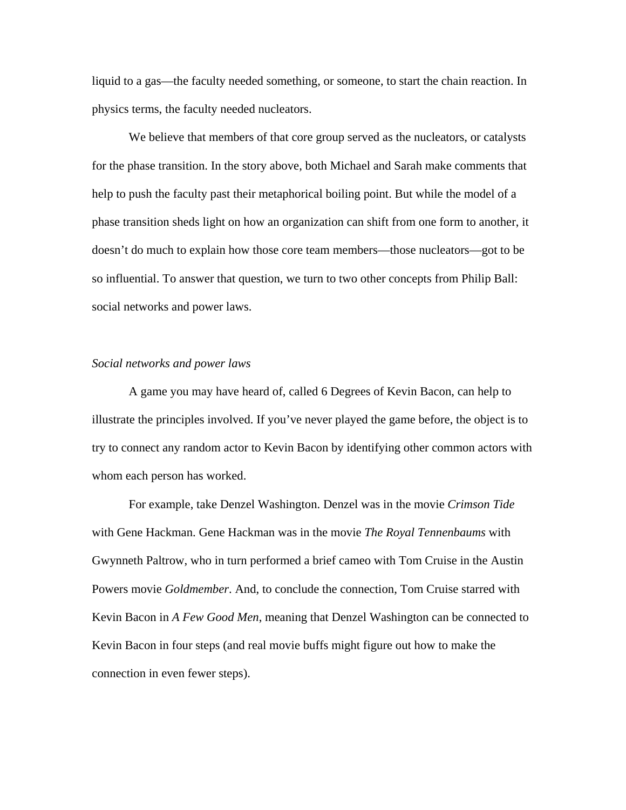liquid to a gas—the faculty needed something, or someone, to start the chain reaction. In physics terms, the faculty needed nucleators.

We believe that members of that core group served as the nucleators, or catalysts for the phase transition. In the story above, both Michael and Sarah make comments that help to push the faculty past their metaphorical boiling point. But while the model of a phase transition sheds light on how an organization can shift from one form to another, it doesn't do much to explain how those core team members—those nucleators—got to be so influential. To answer that question, we turn to two other concepts from Philip Ball: social networks and power laws.

# *Social networks and power laws*

A game you may have heard of, called 6 Degrees of Kevin Bacon, can help to illustrate the principles involved. If you've never played the game before, the object is to try to connect any random actor to Kevin Bacon by identifying other common actors with whom each person has worked.

For example, take Denzel Washington. Denzel was in the movie *Crimson Tide* with Gene Hackman. Gene Hackman was in the movie *The Royal Tennenbaums* with Gwynneth Paltrow, who in turn performed a brief cameo with Tom Cruise in the Austin Powers movie *Goldmember*. And, to conclude the connection, Tom Cruise starred with Kevin Bacon in *A Few Good Men*, meaning that Denzel Washington can be connected to Kevin Bacon in four steps (and real movie buffs might figure out how to make the connection in even fewer steps).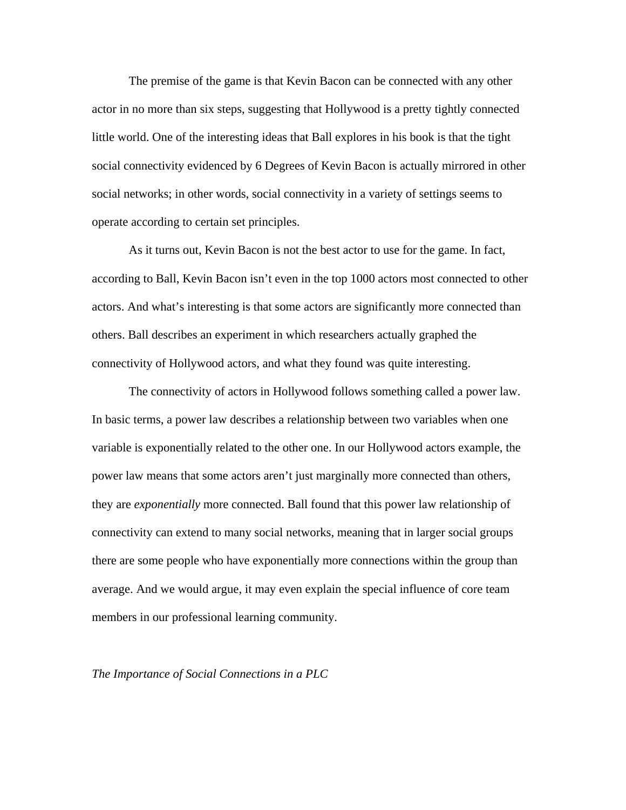The premise of the game is that Kevin Bacon can be connected with any other actor in no more than six steps, suggesting that Hollywood is a pretty tightly connected little world. One of the interesting ideas that Ball explores in his book is that the tight social connectivity evidenced by 6 Degrees of Kevin Bacon is actually mirrored in other social networks; in other words, social connectivity in a variety of settings seems to operate according to certain set principles.

As it turns out, Kevin Bacon is not the best actor to use for the game. In fact, according to Ball, Kevin Bacon isn't even in the top 1000 actors most connected to other actors. And what's interesting is that some actors are significantly more connected than others. Ball describes an experiment in which researchers actually graphed the connectivity of Hollywood actors, and what they found was quite interesting.

The connectivity of actors in Hollywood follows something called a power law. In basic terms, a power law describes a relationship between two variables when one variable is exponentially related to the other one. In our Hollywood actors example, the power law means that some actors aren't just marginally more connected than others, they are *exponentially* more connected. Ball found that this power law relationship of connectivity can extend to many social networks, meaning that in larger social groups there are some people who have exponentially more connections within the group than average. And we would argue, it may even explain the special influence of core team members in our professional learning community.

*The Importance of Social Connections in a PLC*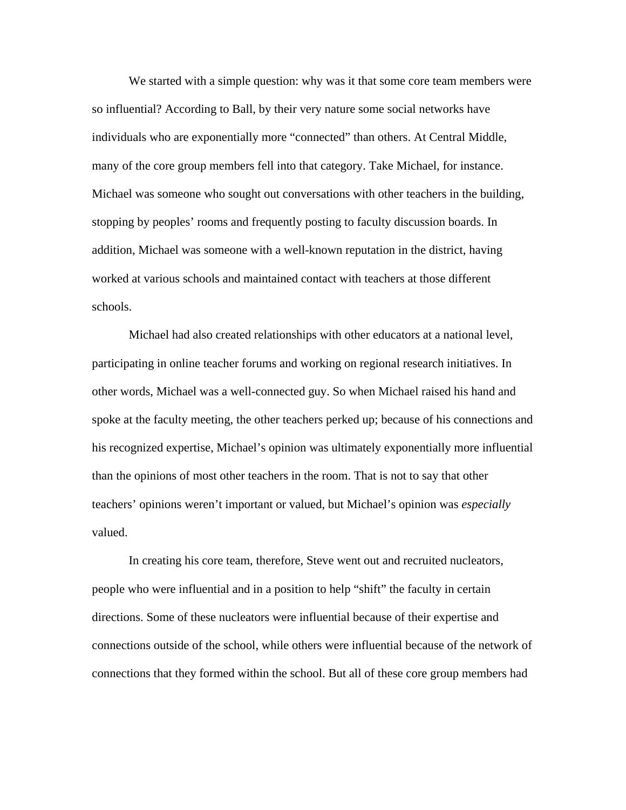We started with a simple question: why was it that some core team members were so influential? According to Ball, by their very nature some social networks have individuals who are exponentially more "connected" than others. At Central Middle, many of the core group members fell into that category. Take Michael, for instance. Michael was someone who sought out conversations with other teachers in the building, stopping by peoples' rooms and frequently posting to faculty discussion boards. In addition, Michael was someone with a well-known reputation in the district, having worked at various schools and maintained contact with teachers at those different schools.

Michael had also created relationships with other educators at a national level, participating in online teacher forums and working on regional research initiatives. In other words, Michael was a well-connected guy. So when Michael raised his hand and spoke at the faculty meeting, the other teachers perked up; because of his connections and his recognized expertise, Michael's opinion was ultimately exponentially more influential than the opinions of most other teachers in the room. That is not to say that other teachers' opinions weren't important or valued, but Michael's opinion was *especially* valued.

In creating his core team, therefore, Steve went out and recruited nucleators, people who were influential and in a position to help "shift" the faculty in certain directions. Some of these nucleators were influential because of their expertise and connections outside of the school, while others were influential because of the network of connections that they formed within the school. But all of these core group members had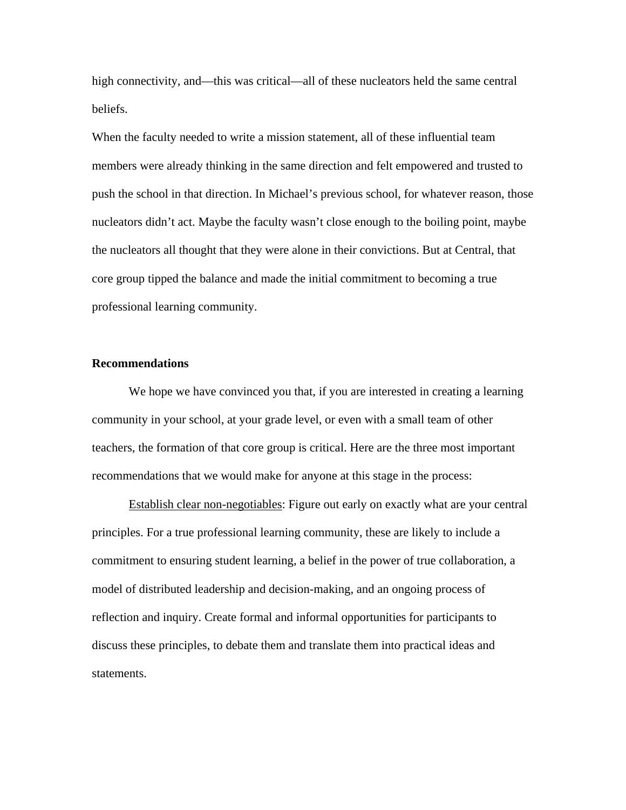high connectivity, and—this was critical—all of these nucleators held the same central beliefs.

When the faculty needed to write a mission statement, all of these influential team members were already thinking in the same direction and felt empowered and trusted to push the school in that direction. In Michael's previous school, for whatever reason, those nucleators didn't act. Maybe the faculty wasn't close enough to the boiling point, maybe the nucleators all thought that they were alone in their convictions. But at Central, that core group tipped the balance and made the initial commitment to becoming a true professional learning community.

# **Recommendations**

We hope we have convinced you that, if you are interested in creating a learning community in your school, at your grade level, or even with a small team of other teachers, the formation of that core group is critical. Here are the three most important recommendations that we would make for anyone at this stage in the process:

Establish clear non-negotiables: Figure out early on exactly what are your central principles. For a true professional learning community, these are likely to include a commitment to ensuring student learning, a belief in the power of true collaboration, a model of distributed leadership and decision-making, and an ongoing process of reflection and inquiry. Create formal and informal opportunities for participants to discuss these principles, to debate them and translate them into practical ideas and statements.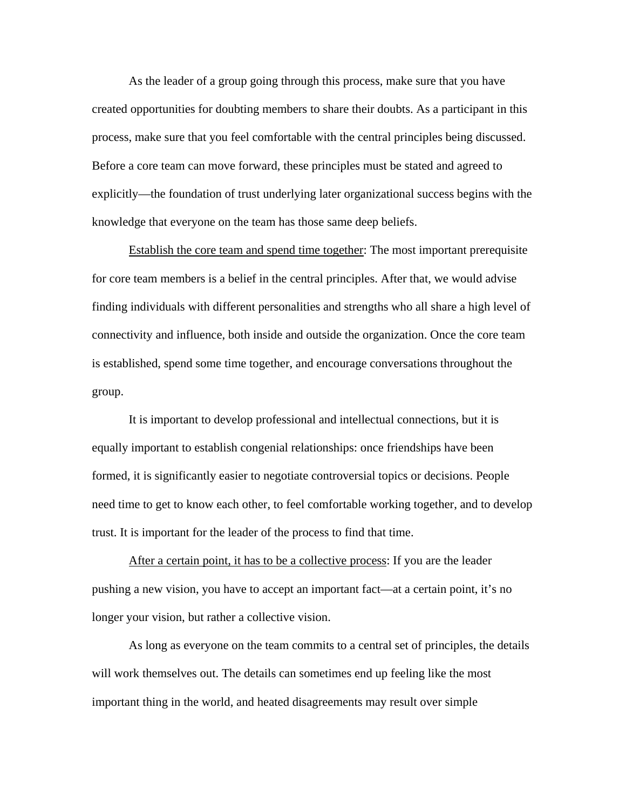As the leader of a group going through this process, make sure that you have created opportunities for doubting members to share their doubts. As a participant in this process, make sure that you feel comfortable with the central principles being discussed. Before a core team can move forward, these principles must be stated and agreed to explicitly—the foundation of trust underlying later organizational success begins with the knowledge that everyone on the team has those same deep beliefs.

Establish the core team and spend time together: The most important prerequisite for core team members is a belief in the central principles. After that, we would advise finding individuals with different personalities and strengths who all share a high level of connectivity and influence, both inside and outside the organization. Once the core team is established, spend some time together, and encourage conversations throughout the group.

It is important to develop professional and intellectual connections, but it is equally important to establish congenial relationships: once friendships have been formed, it is significantly easier to negotiate controversial topics or decisions. People need time to get to know each other, to feel comfortable working together, and to develop trust. It is important for the leader of the process to find that time.

After a certain point, it has to be a collective process: If you are the leader pushing a new vision, you have to accept an important fact—at a certain point, it's no longer your vision, but rather a collective vision.

As long as everyone on the team commits to a central set of principles, the details will work themselves out. The details can sometimes end up feeling like the most important thing in the world, and heated disagreements may result over simple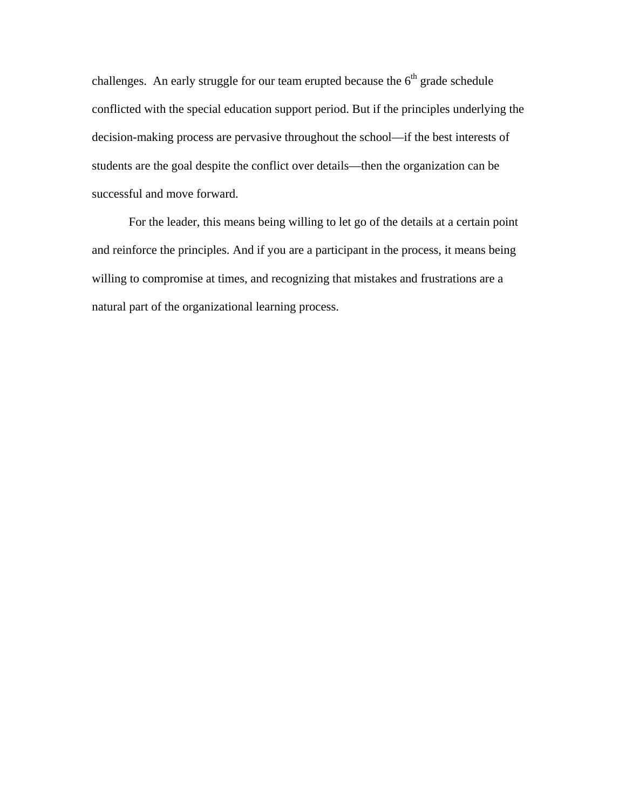challenges. An early struggle for our team erupted because the  $6<sup>th</sup>$  grade schedule conflicted with the special education support period. But if the principles underlying the decision-making process are pervasive throughout the school—if the best interests of students are the goal despite the conflict over details—then the organization can be successful and move forward.

For the leader, this means being willing to let go of the details at a certain point and reinforce the principles. And if you are a participant in the process, it means being willing to compromise at times, and recognizing that mistakes and frustrations are a natural part of the organizational learning process.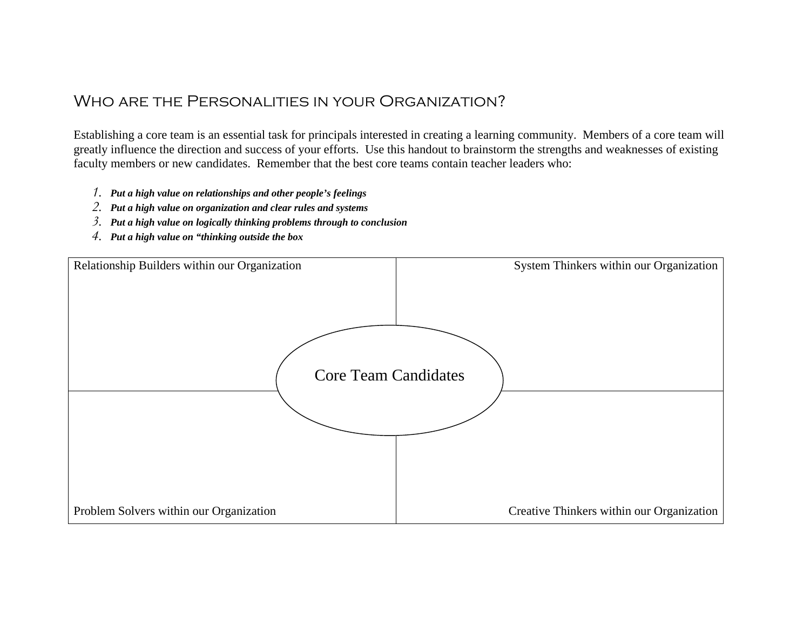# WHO ARE THE PERSONALITIES IN YOUR ORGANIZATION?

Establishing a core team is an essential task for principals interested in creating a learning community. Members of a core team will greatly influence the direction and success of your efforts. Use this handout to brainstorm the strengths and weaknesses of existing faculty members or new candidates. Remember that the best core teams contain teacher leaders who:

- *1. Put a high value on relationships and other people's feelings*
- *2. Put a high value on organization and clear rules and systems*
- *3. Put a high value on logically thinking problems through to conclusion*
- *4. Put a high value on "thinking outside the box*